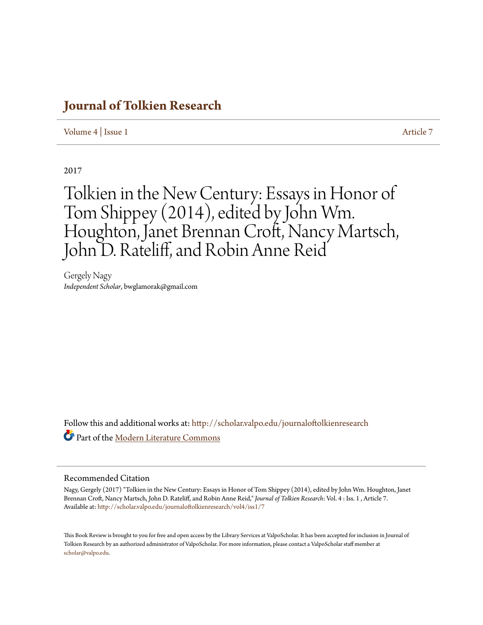## **[Journal of Tolkien Research](http://scholar.valpo.edu/journaloftolkienresearch?utm_source=scholar.valpo.edu%2Fjournaloftolkienresearch%2Fvol4%2Fiss1%2F7&utm_medium=PDF&utm_campaign=PDFCoverPages)**

[Volume 4](http://scholar.valpo.edu/journaloftolkienresearch/vol4?utm_source=scholar.valpo.edu%2Fjournaloftolkienresearch%2Fvol4%2Fiss1%2F7&utm_medium=PDF&utm_campaign=PDFCoverPages) | [Issue 1](http://scholar.valpo.edu/journaloftolkienresearch/vol4/iss1?utm_source=scholar.valpo.edu%2Fjournaloftolkienresearch%2Fvol4%2Fiss1%2F7&utm_medium=PDF&utm_campaign=PDFCoverPages) [Article 7](http://scholar.valpo.edu/journaloftolkienresearch/vol4/iss1/7?utm_source=scholar.valpo.edu%2Fjournaloftolkienresearch%2Fvol4%2Fiss1%2F7&utm_medium=PDF&utm_campaign=PDFCoverPages)

2017

Tolkien in the New Century: Essays in Honor of Tom Shippey (2014), edited by John Wm. Houghton, Janet Brennan Croft, Nancy Martsch, John D. Rateliff, and Robin Anne Reid

Gergely Nagy *Independent Scholar*, bwglamorak@gmail.com

Follow this and additional works at: [http://scholar.valpo.edu/journaloftolkienresearch](http://scholar.valpo.edu/journaloftolkienresearch?utm_source=scholar.valpo.edu%2Fjournaloftolkienresearch%2Fvol4%2Fiss1%2F7&utm_medium=PDF&utm_campaign=PDFCoverPages) Part of the [Modern Literature Commons](http://network.bepress.com/hgg/discipline/1050?utm_source=scholar.valpo.edu%2Fjournaloftolkienresearch%2Fvol4%2Fiss1%2F7&utm_medium=PDF&utm_campaign=PDFCoverPages)

## Recommended Citation

Nagy, Gergely (2017) "Tolkien in the New Century: Essays in Honor of Tom Shippey (2014), edited by John Wm. Houghton, Janet Brennan Croft, Nancy Martsch, John D. Rateliff, and Robin Anne Reid," *Journal of Tolkien Research*: Vol. 4 : Iss. 1 , Article 7. Available at: [http://scholar.valpo.edu/journaloftolkienresearch/vol4/iss1/7](http://scholar.valpo.edu/journaloftolkienresearch/vol4/iss1/7?utm_source=scholar.valpo.edu%2Fjournaloftolkienresearch%2Fvol4%2Fiss1%2F7&utm_medium=PDF&utm_campaign=PDFCoverPages)

This Book Review is brought to you for free and open access by the Library Services at ValpoScholar. It has been accepted for inclusion in Journal of Tolkien Research by an authorized administrator of ValpoScholar. For more information, please contact a ValpoScholar staff member at [scholar@valpo.edu.](mailto:scholar@valpo.edu)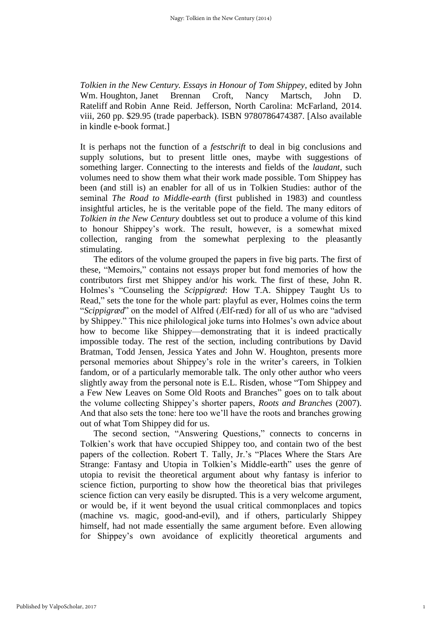*Tolkien in the New Century. Essays in Honour of Tom Shippey*, edited by John Wm. Houghton, Janet Brennan Croft, Nancy Martsch, John D. Rateliff and Robin Anne Reid. Jefferson, North Carolina: McFarland, 2014. viii, 260 pp. \$29.95 (trade paperback). ISBN 9780786474387. [Also available in kindle e-book format.]

It is perhaps not the function of a *festschrift* to deal in big conclusions and supply solutions, but to present little ones, maybe with suggestions of something larger. Connecting to the interests and fields of the *laudant*, such volumes need to show them what their work made possible. Tom Shippey has been (and still is) an enabler for all of us in Tolkien Studies: author of the seminal *The Road to Middle-earth* (first published in 1983) and countless insightful articles, he is the veritable pope of the field. The many editors of *Tolkien in the New Century* doubtless set out to produce a volume of this kind to honour Shippey's work. The result, however, is a somewhat mixed collection, ranging from the somewhat perplexing to the pleasantly stimulating.

The editors of the volume grouped the papers in five big parts. The first of these, "Memoirs," contains not essays proper but fond memories of how the contributors first met Shippey and/or his work. The first of these, John R. Holmes's "Counseling the *Scippigræd*: How T.A. Shippey Taught Us to Read," sets the tone for the whole part: playful as ever, Holmes coins the term "*Scippigræd*" on the model of Alfred (Ælf-ræd) for all of us who are "advised by Shippey." This nice philological joke turns into Holmes's own advice about how to become like Shippey—demonstrating that it is indeed practically impossible today. The rest of the section, including contributions by David Bratman, Todd Jensen, Jessica Yates and John W. Houghton, presents more personal memories about Shippey's role in the writer's careers, in Tolkien fandom, or of a particularly memorable talk. The only other author who veers slightly away from the personal note is E.L. Risden, whose "Tom Shippey and a Few New Leaves on Some Old Roots and Branches" goes on to talk about the volume collecting Shippey's shorter papers, *Roots and Branches* (2007). And that also sets the tone: here too we'll have the roots and branches growing out of what Tom Shippey did for us.

The second section, "Answering Questions," connects to concerns in Tolkien's work that have occupied Shippey too, and contain two of the best papers of the collection. Robert T. Tally, Jr.'s "Places Where the Stars Are Strange: Fantasy and Utopia in Tolkien's Middle-earth" uses the genre of utopia to revisit the theoretical argument about why fantasy is inferior to science fiction, purporting to show how the theoretical bias that privileges science fiction can very easily be disrupted. This is a very welcome argument, or would be, if it went beyond the usual critical commonplaces and topics (machine vs. magic, good-and-evil), and if others, particularly Shippey himself, had not made essentially the same argument before. Even allowing for Shippey's own avoidance of explicitly theoretical arguments and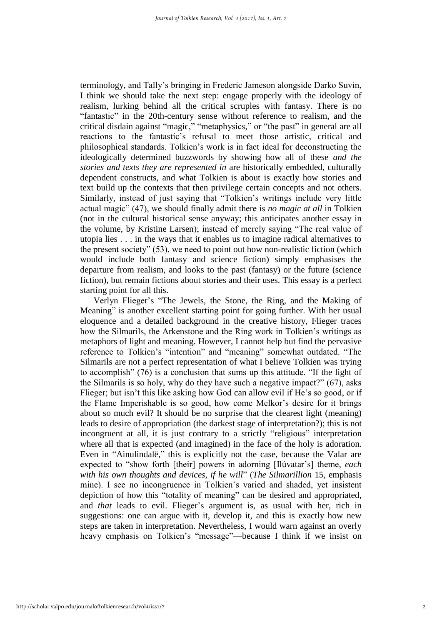terminology, and Tally's bringing in Frederic Jameson alongside Darko Suvin, I think we should take the next step: engage properly with the ideology of realism, lurking behind all the critical scruples with fantasy. There is no "fantastic" in the 20th-century sense without reference to realism, and the critical disdain against "magic," "metaphysics," or "the past" in general are all reactions to the fantastic's refusal to meet those artistic, critical and philosophical standards. Tolkien's work is in fact ideal for deconstructing the ideologically determined buzzwords by showing how all of these *and the stories and texts they are represented in* are historically embedded, culturally dependent constructs, and what Tolkien is about is exactly how stories and text build up the contexts that then privilege certain concepts and not others. Similarly, instead of just saying that "Tolkien's writings include very little actual magic" (47), we should finally admit there is *no magic at all* in Tolkien (not in the cultural historical sense anyway; this anticipates another essay in the volume, by Kristine Larsen); instead of merely saying "The real value of utopia lies . . . in the ways that it enables us to imagine radical alternatives to the present society" (53), we need to point out how non-realistic fiction (which would include both fantasy and science fiction) simply emphasises the departure from realism, and looks to the past (fantasy) or the future (science fiction), but remain fictions about stories and their uses. This essay is a perfect starting point for all this.

Verlyn Flieger's "The Jewels, the Stone, the Ring, and the Making of Meaning" is another excellent starting point for going further. With her usual eloquence and a detailed background in the creative history, Flieger traces how the Silmarils, the Arkenstone and the Ring work in Tolkien's writings as metaphors of light and meaning. However, I cannot help but find the pervasive reference to Tolkien's "intention" and "meaning" somewhat outdated. "The Silmarils are not a perfect representation of what I believe Tolkien was trying to accomplish" (76) is a conclusion that sums up this attitude. "If the light of the Silmarils is so holy, why do they have such a negative impact?" (67), asks Flieger; but isn't this like asking how God can allow evil if He's so good, or if the Flame Imperishable is so good, how come Melkor's desire for it brings about so much evil? It should be no surprise that the clearest light (meaning) leads to desire of appropriation (the darkest stage of interpretation?); this is not incongruent at all, it is just contrary to a strictly "religious" interpretation where all that is expected (and imagined) in the face of the holy is adoration. Even in "Ainulindalë," this is explicitly not the case, because the Valar are expected to "show forth [their] powers in adorning [Ilúvatar's] theme, *each with his own thoughts and devices, if he will*" (*The Silmarillion* 15, emphasis mine). I see no incongruence in Tolkien's varied and shaded, yet insistent depiction of how this "totality of meaning" can be desired and appropriated, and *that* leads to evil. Flieger's argument is, as usual with her, rich in suggestions: one can argue with it, develop it, and this is exactly how new steps are taken in interpretation. Nevertheless, I would warn against an overly heavy emphasis on Tolkien's "message"—because I think if we insist on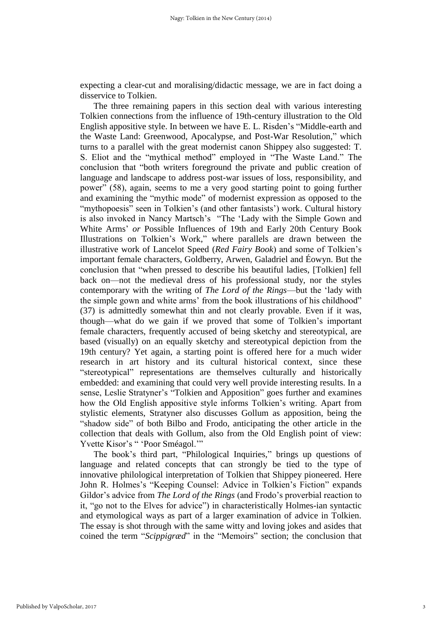expecting a clear-cut and moralising/didactic message, we are in fact doing a disservice to Tolkien.

The three remaining papers in this section deal with various interesting Tolkien connections from the influence of 19th-century illustration to the Old English appositive style. In between we have E. L. Risden's "Middle-earth and the Waste Land: Greenwood, Apocalypse, and Post-War Resolution," which turns to a parallel with the great modernist canon Shippey also suggested: T. S. Eliot and the "mythical method" employed in "The Waste Land." The conclusion that "both writers foreground the private and public creation of language and landscape to address post-war issues of loss, responsibility, and power" (58), again, seems to me a very good starting point to going further and examining the "mythic mode" of modernist expression as opposed to the "mythopoesis" seen in Tolkien's (and other fantasists') work. Cultural history is also invoked in Nancy Martsch's "The 'Lady with the Simple Gown and White Arms' *or* Possible Influences of 19th and Early 20th Century Book Illustrations on Tolkien's Work," where parallels are drawn between the illustrative work of Lancelot Speed (*Red Fairy Book*) and some of Tolkien's important female characters, Goldberry, Arwen, Galadriel and Éowyn. But the conclusion that "when pressed to describe his beautiful ladies, [Tolkien] fell back on—not the medieval dress of his professional study, nor the styles contemporary with the writing of *The Lord of the Rings*—but the 'lady with the simple gown and white arms' from the book illustrations of his childhood" (37) is admittedly somewhat thin and not clearly provable. Even if it was, though—what do we gain if we proved that some of Tolkien's important female characters, frequently accused of being sketchy and stereotypical, are based (visually) on an equally sketchy and stereotypical depiction from the 19th century? Yet again, a starting point is offered here for a much wider research in art history and its cultural historical context, since these "stereotypical" representations are themselves culturally and historically embedded: and examining that could very well provide interesting results. In a sense, Leslie Stratyner's "Tolkien and Apposition" goes further and examines how the Old English appositive style informs Tolkien's writing. Apart from stylistic elements, Stratyner also discusses Gollum as apposition, being the "shadow side" of both Bilbo and Frodo, anticipating the other article in the collection that deals with Gollum, also from the Old English point of view: Yvette Kisor's " 'Poor Sméagol.'"

The book's third part, "Philological Inquiries," brings up questions of language and related concepts that can strongly be tied to the type of innovative philological interpretation of Tolkien that Shippey pioneered. Here John R. Holmes's "Keeping Counsel: Advice in Tolkien's Fiction" expands Gildor's advice from *The Lord of the Rings* (and Frodo's proverbial reaction to it, "go not to the Elves for advice") in characteristically Holmes-ian syntactic and etymological ways as part of a larger examination of advice in Tolkien. The essay is shot through with the same witty and loving jokes and asides that coined the term "*Scippigræd*" in the "Memoirs" section; the conclusion that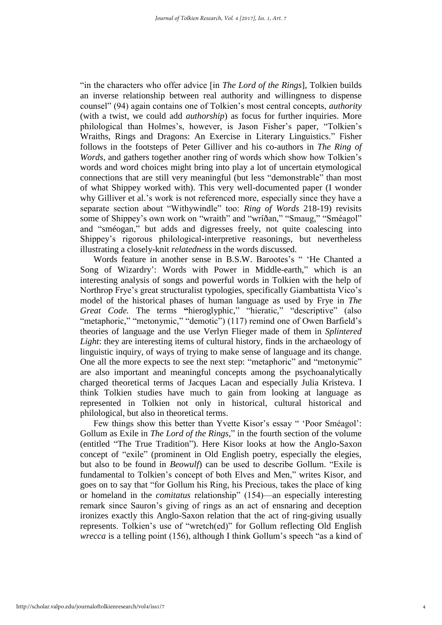"in the characters who offer advice [in *The Lord of the Rings*], Tolkien builds an inverse relationship between real authority and willingness to dispense counsel" (94) again contains one of Tolkien's most central concepts, *authority* (with a twist, we could add *authorship*) as focus for further inquiries. More philological than Holmes's, however, is Jason Fisher's paper, "Tolkien's Wraiths, Rings and Dragons: An Exercise in Literary Linguistics." Fisher follows in the footsteps of Peter Gilliver and his co-authors in *The Ring of Words*, and gathers together another ring of words which show how Tolkien's words and word choices might bring into play a lot of uncertain etymological connections that are still very meaningful (but less "demonstrable" than most of what Shippey worked with). This very well-documented paper (I wonder why Gilliver et al.'s work is not referenced more, especially since they have a separate section about "Withywindle" too: *Ring of Words* 218-19) revisits some of Shippey's own work on "wraith" and "wríðan," "Smaug," "Sméagol" and "sméogan," but adds and digresses freely, not quite coalescing into Shippey's rigorous philological-interpretive reasonings, but nevertheless illustrating a closely-knit *relatedness* in the words discussed.

Words feature in another sense in B.S.W. Barootes's " 'He Chanted a Song of Wizardry': Words with Power in Middle-earth," which is an interesting analysis of songs and powerful words in Tolkien with the help of Northrop Frye's great structuralist typologies, specifically Giambattista Vico's model of the historical phases of human language as used by Frye in *The Great Code.* The terms **"**hieroglyphic," "hieratic," "descriptive" (also "metaphoric," "metonymic," "demotic") (117) remind one of Owen Barfield's theories of language and the use Verlyn Flieger made of them in *Splintered Light*: they are interesting items of cultural history, finds in the archaeology of linguistic inquiry, of ways of trying to make sense of language and its change. One all the more expects to see the next step: "metaphoric" and "metonymic" are also important and meaningful concepts among the psychoanalytically charged theoretical terms of Jacques Lacan and especially Julia Kristeva. I think Tolkien studies have much to gain from looking at language as represented in Tolkien not only in historical, cultural historical and philological, but also in theoretical terms.

Few things show this better than Yvette Kisor's essay " 'Poor Sméagol': Gollum as Exile in *The Lord of the Rings*," in the fourth section of the volume (entitled "The True Tradition"). Here Kisor looks at how the Anglo-Saxon concept of "exile" (prominent in Old English poetry, especially the elegies, but also to be found in *Beowulf*) can be used to describe Gollum. "Exile is fundamental to Tolkien's concept of both Elves and Men," writes Kisor, and goes on to say that "for Gollum his Ring, his Precious, takes the place of king or homeland in the *comitatus* relationship" (154)—an especially interesting remark since Sauron's giving of rings as an act of ensnaring and deception ironizes exactly this Anglo-Saxon relation that the act of ring-giving usually represents. Tolkien's use of "wretch(ed)" for Gollum reflecting Old English *wrecca* is a telling point (156), although I think Gollum's speech "as a kind of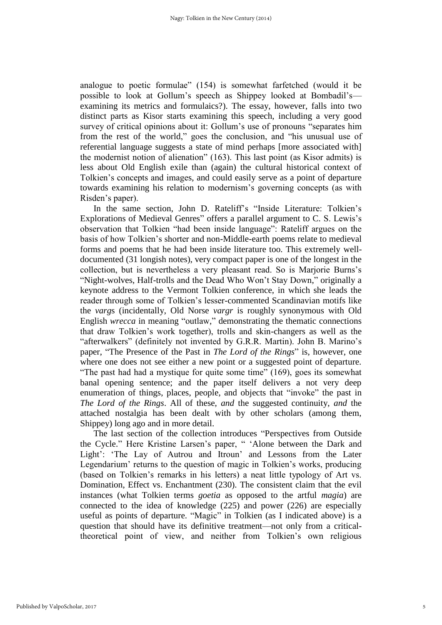analogue to poetic formulae" (154) is somewhat farfetched (would it be possible to look at Gollum's speech as Shippey looked at Bombadil's examining its metrics and formulaics?). The essay, however, falls into two distinct parts as Kisor starts examining this speech, including a very good survey of critical opinions about it: Gollum's use of pronouns "separates him from the rest of the world," goes the conclusion, and "his unusual use of referential language suggests a state of mind perhaps [more associated with] the modernist notion of alienation" (163). This last point (as Kisor admits) is less about Old English exile than (again) the cultural historical context of Tolkien's concepts and images, and could easily serve as a point of departure towards examining his relation to modernism's governing concepts (as with Risden's paper).

In the same section, John D. Rateliff's "Inside Literature: Tolkien's Explorations of Medieval Genres" offers a parallel argument to C. S. Lewis's observation that Tolkien "had been inside language": Rateliff argues on the basis of how Tolkien's shorter and non-Middle-earth poems relate to medieval forms and poems that he had been inside literature too. This extremely welldocumented (31 longish notes), very compact paper is one of the longest in the collection, but is nevertheless a very pleasant read. So is Marjorie Burns's "Night-wolves, Half-trolls and the Dead Who Won't Stay Down," originally a keynote address to the Vermont Tolkien conference, in which she leads the reader through some of Tolkien's lesser-commented Scandinavian motifs like the *varg*s (incidentally, Old Norse *vargr* is roughly synonymous with Old English *wrecca* in meaning "outlaw," demonstrating the thematic connections that draw Tolkien's work together), trolls and skin-changers as well as the "afterwalkers" (definitely not invented by G.R.R. Martin). John B. Marino's paper, "The Presence of the Past in *The Lord of the Rings*" is, however, one where one does not see either a new point or a suggested point of departure. "The past had had a mystique for quite some time" (169), goes its somewhat banal opening sentence; and the paper itself delivers a not very deep enumeration of things, places, people, and objects that "invoke" the past in *The Lord of the Rings*. All of these, *and* the suggested continuity, *and* the attached nostalgia has been dealt with by other scholars (among them, Shippey) long ago and in more detail.

The last section of the collection introduces "Perspectives from Outside the Cycle." Here Kristine Larsen's paper, " 'Alone between the Dark and Light': 'The Lay of Autrou and Itroun' and Lessons from the Later Legendarium' returns to the question of magic in Tolkien's works, producing (based on Tolkien's remarks in his letters) a neat little typology of Art vs. Domination, Effect vs. Enchantment (230). The consistent claim that the evil instances (what Tolkien terms *goetia* as opposed to the artful *magia*) are connected to the idea of knowledge (225) and power (226) are especially useful as points of departure. "Magic" in Tolkien (as I indicated above) is a question that should have its definitive treatment—not only from a criticaltheoretical point of view, and neither from Tolkien's own religious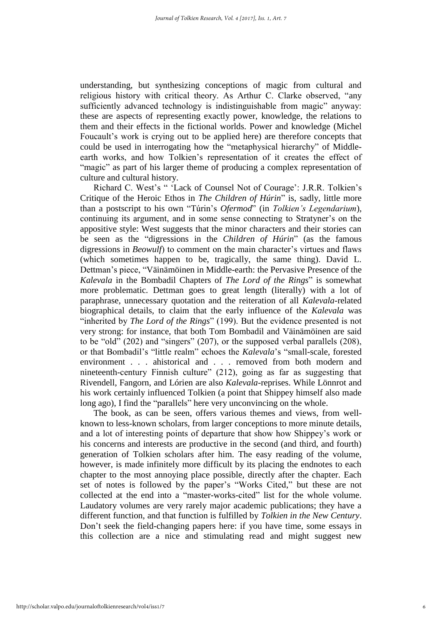understanding, but synthesizing conceptions of magic from cultural and religious history with critical theory. As Arthur C. Clarke observed, "any sufficiently advanced technology is indistinguishable from magic" anyway: these are aspects of representing exactly power, knowledge, the relations to them and their effects in the fictional worlds. Power and knowledge (Michel Foucault's work is crying out to be applied here) are therefore concepts that could be used in interrogating how the "metaphysical hierarchy" of Middleearth works, and how Tolkien's representation of it creates the effect of "magic" as part of his larger theme of producing a complex representation of culture and cultural history.

Richard C. West's " 'Lack of Counsel Not of Courage': J.R.R. Tolkien's Critique of the Heroic Ethos in *The Children of Húrin*" is, sadly, little more than a postscript to his own "Túrin's *Ofermod*" (in *Tolkien's Legendarium*), continuing its argument, and in some sense connecting to Stratyner's on the appositive style: West suggests that the minor characters and their stories can be seen as the "digressions in the *Children of Húrin*" (as the famous digressions in *Beowulf*) to comment on the main character's virtues and flaws (which sometimes happen to be, tragically, the same thing). David L. Dettman's piece, "Väinämöinen in Middle-earth: the Pervasive Presence of the *Kalevala* in the Bombadil Chapters of *The Lord of the Rings*" is somewhat more problematic. Dettman goes to great length (literally) with a lot of paraphrase, unnecessary quotation and the reiteration of all *Kalevala*-related biographical details, to claim that the early influence of the *Kalevala* was "inherited by *The Lord of the Rings*" (199). But the evidence presented is not very strong: for instance, that both Tom Bombadil and Väinämöinen are said to be "old" (202) and "singers" (207), or the supposed verbal parallels (208), or that Bombadil's "little realm" echoes the *Kalevala*'s "small-scale, forested environment . . . ahistorical and . . . removed from both modern and nineteenth-century Finnish culture" (212), going as far as suggesting that Rivendell, Fangorn, and Lórien are also *Kalevala*-reprises. While Lönnrot and his work certainly influenced Tolkien (a point that Shippey himself also made long ago), I find the "parallels" here very unconvincing on the whole.

The book, as can be seen, offers various themes and views, from wellknown to less-known scholars, from larger conceptions to more minute details, and a lot of interesting points of departure that show how Shippey's work or his concerns and interests are productive in the second (and third, and fourth) generation of Tolkien scholars after him. The easy reading of the volume, however, is made infinitely more difficult by its placing the endnotes to each chapter to the most annoying place possible, directly after the chapter. Each set of notes is followed by the paper's "Works Cited," but these are not collected at the end into a "master-works-cited" list for the whole volume. Laudatory volumes are very rarely major academic publications; they have a different function, and that function is fulfilled by *Tolkien in the New Century*. Don't seek the field-changing papers here: if you have time, some essays in this collection are a nice and stimulating read and might suggest new